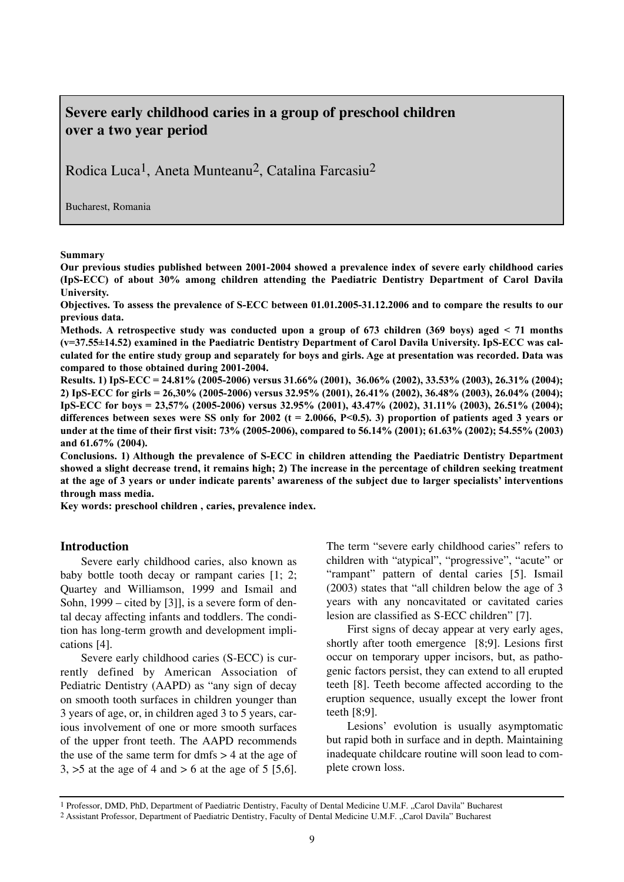# **Severe early childhood caries in a group of preschool children over a two year period**

Rodica Luca1, Aneta Munteanu2, Catalina Farcasiu2

Bucharest, Romania

#### **Summary**

**Our previous studies published between 2001-2004 showed a prevalence index of severe early childhood caries (IpS-ECC) of about 30% among children attending the Paediatric Dentistry Department of Carol Davila University.**

**Objectives. To assess the prevalence of S-ECC between 01.01.2005-31.12.2006 and to compare the results to our previous data.**

**Methods. A retrospective study was conducted upon a group of 673 children (369 boys) aged < 71 months (v=37.55±14.52) examined in the Paediatric Dentistry Department of Carol Davila University. IpS-ECC was calculated for the entire study group and separately for boys and girls. Age at presentation was recorded. Data was compared to those obtained during 2001-2004.**

**Results. 1) IpS-ECC = 24.81% (2005-2006) versus 31.66% (2001), 36.06% (2002), 33.53% (2003), 26.31% (2004); 2) IpS-ECC for girls = 26,30% (2005-2006) versus 32.95% (2001), 26.41% (2002), 36.48% (2003), 26.04% (2004); IpS-ECC for boys = 23,57% (2005-2006) versus 32.95% (2001), 43.47% (2002), 31.11% (2003), 26.51% (2004); differences between sexes were SS only for 2002 (t = 2.0066, P<0.5). 3) proportion of patients aged 3 years or under at the time of their first visit: 73% (2005-2006), compared to 56.14% (2001); 61.63% (2002); 54.55% (2003) and 61.67% (2004).**

**Conclusions. 1) Although the prevalence of S-ECC in children attending the Paediatric Dentistry Department showed a slight decrease trend, it remains high; 2) The increase in the percentage of children seeking treatment at the age of 3 years or under indicate parents' awareness of the subject due to larger specialists' interventions through mass media.**

**Key words: preschool children , caries, prevalence index.**

#### **Introduction**

Severe early childhood caries, also known as baby bottle tooth decay or rampant caries [1; 2; Quartey and Williamson, 1999 and Ismail and Sohn, 1999 – cited by [3]], is a severe form of dental decay affecting infants and toddlers. The condition has long-term growth and development implications [4].

Severe early childhood caries (S-ECC) is currently defined by American Association of Pediatric Dentistry (AAPD) as "any sign of decay on smooth tooth surfaces in children younger than 3 years of age, or, in children aged 3 to 5 years, carious involvement of one or more smooth surfaces of the upper front teeth. The AAPD recommends the use of the same term for dmfs  $>$  4 at the age of  $3, >5$  at the age of 4 and  $> 6$  at the age of 5 [5,6].

The term "severe early childhood caries" refers to children with "atypical", "progressive", "acute" or "rampant" pattern of dental caries [5]. Ismail (2003) states that "all children below the age of 3 years with any noncavitated or cavitated caries lesion are classified as S-ECC children" [7].

First signs of decay appear at very early ages, shortly after tooth emergence [8;9]. Lesions first occur on temporary upper incisors, but, as pathogenic factors persist, they can extend to all erupted teeth [8]. Teeth become affected according to the eruption sequence, usually except the lower front teeth [8;9].

Lesions' evolution is usually asymptomatic but rapid both in surface and in depth. Maintaining inadequate childcare routine will soon lead to complete crown loss.

<sup>&</sup>lt;sup>1</sup> Professor, DMD, PhD, Department of Paediatric Dentistry, Faculty of Dental Medicine U.M.F. "Carol Davila" Bucharest <sup>2</sup> Assistant Professor, Department of Paediatric Dentistry, Faculty of Dental Medicine U.M.F., Carol Davila" Bucharest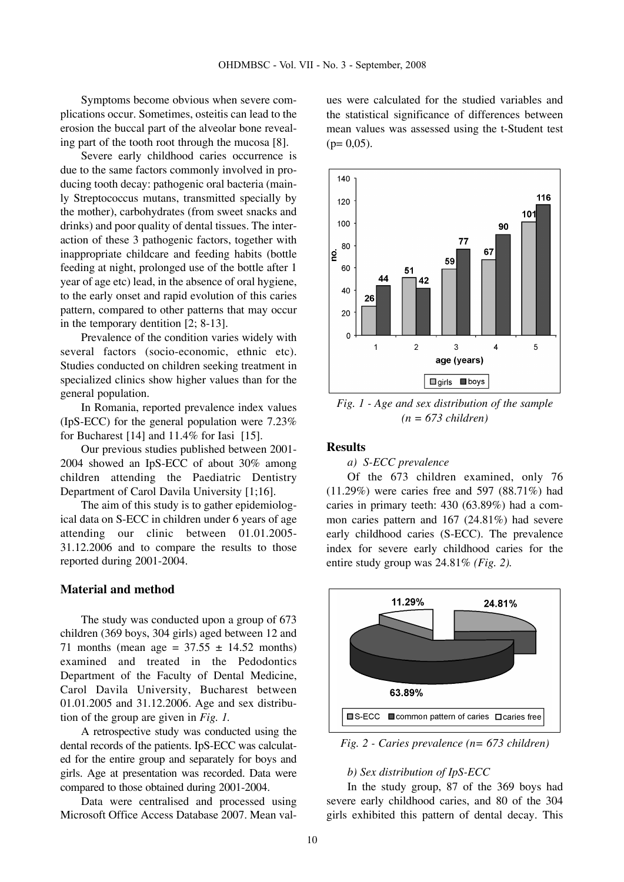Symptoms become obvious when severe complications occur. Sometimes, osteitis can lead to the erosion the buccal part of the alveolar bone revealing part of the tooth root through the mucosa [8].

Severe early childhood caries occurrence is due to the same factors commonly involved in producing tooth decay: pathogenic oral bacteria (mainly Streptococcus mutans, transmitted specially by the mother), carbohydrates (from sweet snacks and drinks) and poor quality of dental tissues. The interaction of these 3 pathogenic factors, together with inappropriate childcare and feeding habits (bottle feeding at night, prolonged use of the bottle after 1 year of age etc) lead, in the absence of oral hygiene, to the early onset and rapid evolution of this caries pattern, compared to other patterns that may occur in the temporary dentition [2; 8-13].

Prevalence of the condition varies widely with several factors (socio-economic, ethnic etc). Studies conducted on children seeking treatment in specialized clinics show higher values than for the general population.

In Romania, reported prevalence index values (IpS-ECC) for the general population were 7.23% for Bucharest [14] and 11.4% for Iasi [15].

Our previous studies published between 2001- 2004 showed an IpS-ECC of about 30% among children attending the Paediatric Dentistry Department of Carol Davila University [1;16].

The aim of this study is to gather epidemiological data on S-ECC in children under 6 years of age attending our clinic between 01.01.2005- 31.12.2006 and to compare the results to those reported during 2001-2004.

## **Material and method**

The study was conducted upon a group of 673 children (369 boys, 304 girls) aged between 12 and 71 months (mean age =  $37.55 \pm 14.52$  months) examined and treated in the Pedodontics Department of the Faculty of Dental Medicine, Carol Davila University, Bucharest between 01.01.2005 and 31.12.2006. Age and sex distribution of the group are given in *Fig. 1.*

A retrospective study was conducted using the dental records of the patients. IpS-ECC was calculated for the entire group and separately for boys and girls. Age at presentation was recorded. Data were compared to those obtained during 2001-2004.

Data were centralised and processed using Microsoft Office Access Database 2007. Mean values were calculated for the studied variables and the statistical significance of differences between mean values was assessed using the t-Student test  $(p= 0.05)$ .



*Fig. 1 - Age and sex distribution of the sample (n = 673 children)*

## **Results**

*a) S-ECC prevalence* 

Of the 673 children examined, only 76 (11.29%) were caries free and 597 (88.71%) had caries in primary teeth: 430 (63.89%) had a common caries pattern and 167 (24.81%) had severe early childhood caries (S-ECC). The prevalence index for severe early childhood caries for the entire study group was 24.81% *(Fig. 2).*



*Fig. 2 - Caries prevalence (n= 673 children)*

#### *b) Sex distribution of IpS-ECC*

In the study group, 87 of the 369 boys had severe early childhood caries, and 80 of the 304 girls exhibited this pattern of dental decay. This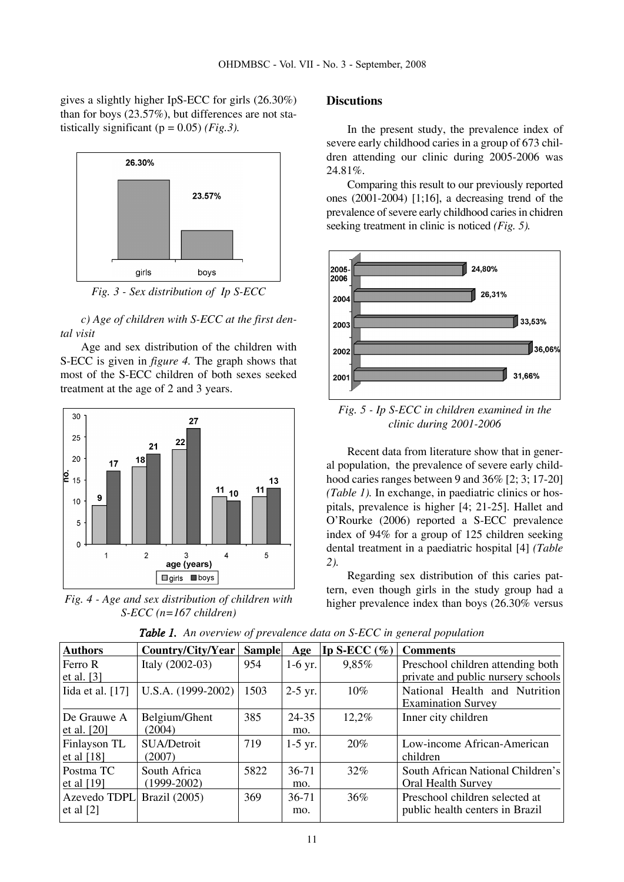gives a slightly higher IpS-ECC for girls (26.30%) than for boys (23.57%), but differences are not statistically significant  $(p = 0.05)$  *(Fig.3).* 



*Fig. 3 - Sex distribution of Ip S-ECC*

*c) Age of children with S-ECC at the first dental visit* 

Age and sex distribution of the children with S-ECC is given in *figure 4.* The graph shows that most of the S-ECC children of both sexes seeked treatment at the age of 2 and 3 years.



*Fig. 4 - Age and sex distribution of children with S-ECC (n=167 children)*

## **Discutions**

In the present study, the prevalence index of severe early childhood caries in a group of 673 children attending our clinic during 2005-2006 was 24.81%.

Comparing this result to our previously reported ones (2001-2004) [1;16], a decreasing trend of the prevalence of severe early childhood caries in chidren seeking treatment in clinic is noticed *(Fig. 5).*



*Fig. 5 - Ip S-ECC in children examined in the clinic during 2001-2006* 

Recent data from literature show that in general population, the prevalence of severe early childhood caries ranges between 9 and 36% [2; 3; 17-20] *(Table 1).* In exchange, in paediatric clinics or hospitals, prevalence is higher [4; 21-25]. Hallet and O'Rourke (2006) reported a S-ECC prevalence index of 94% for a group of 125 children seeking dental treatment in a paediatric hospital [4] *(Table 2).*

Regarding sex distribution of this caries pattern, even though girls in the study group had a higher prevalence index than boys (26.30% versus

| Authors            | Country/City/Year    | <b>Sample</b> | Age       | Ip S-ECC $(\%)$ | <b>Comments</b>                    |
|--------------------|----------------------|---------------|-----------|-----------------|------------------------------------|
| Ferro R            | Italy $(2002-03)$    | 954           | $1-6$ yr. | 9,85%           | Preschool children attending both  |
| et al. $[3]$       |                      |               |           |                 | private and public nursery schools |
| Iida et al. $[17]$ | $U.S.A. (1999-2002)$ | 1503          | $2-5$ yr. | 10%             | National Health and Nutrition      |
|                    |                      |               |           |                 | <b>Examination Survey</b>          |
| De Grauwe A        | Belgium/Ghent        | 385           | 24-35     | 12,2%           | Inner city children                |
| et al. $[20]$      | (2004)               |               | mo.       |                 |                                    |
| Finlayson TL       | SUA/Detroit          | 719           | $1-5$ yr. | 20%             | Low-income African-American        |
| et al $[18]$       | (2007)               |               |           |                 | children                           |
| Postma TC          | South Africa         | 5822          | $36 - 71$ | 32%             | South African National Children's  |
| et al $[19]$       | $(1999-2002)$        |               | mo.       |                 | Oral Health Survey                 |
| Azevedo TDPL       | Brazil (2005)        | 369           | $36 - 71$ | 36%             | Preschool children selected at     |
| et al $[2]$        |                      |               | mo.       |                 | public health centers in Brazil    |
|                    |                      |               |           |                 |                                    |

*Table 1. An overview of prevalence data on S-ECC in general population*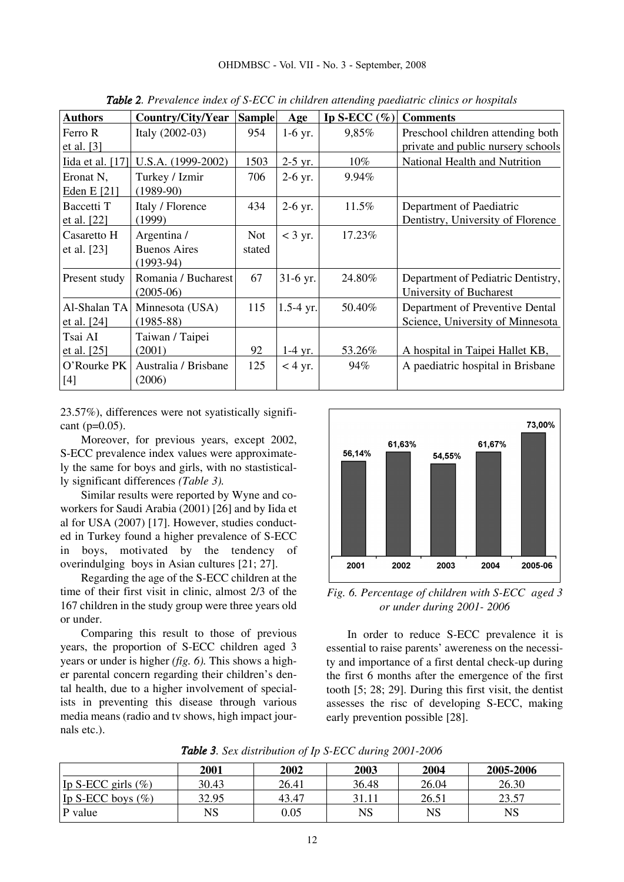| <b>Authors</b>   | Country/City/Year    | <b>Sample</b> | Age         | Ip S-ECC $(\%)$ | <b>Comments</b>                    |  |  |  |  |
|------------------|----------------------|---------------|-------------|-----------------|------------------------------------|--|--|--|--|
| Ferro R          | Italy (2002-03)      | 954           | $1-6$ yr.   | 9,85%           | Preschool children attending both  |  |  |  |  |
| et al. $[3]$     |                      |               |             |                 | private and public nursery schools |  |  |  |  |
| Iida et al. [17] | $U.S.A. (1999-2002)$ | 1503          | $2-5$ yr.   | $10\%$          | National Health and Nutrition      |  |  |  |  |
| Eronat N,        | Turkey / Izmir       | 706           | $2-6$ yr.   | 9.94%           |                                    |  |  |  |  |
| Eden E [21]      | $(1989-90)$          |               |             |                 |                                    |  |  |  |  |
| Baccetti T       | Italy / Florence     | 434           | $2-6$ yr.   | 11.5%           | Department of Paediatric           |  |  |  |  |
| et al. [22]      | (1999)               |               |             |                 | Dentistry, University of Florence  |  |  |  |  |
| Casaretto H      | Argentina /          | <b>Not</b>    | $<$ 3 yr.   | 17.23%          |                                    |  |  |  |  |
| et al. [23]      | <b>Buenos Aires</b>  | stated        |             |                 |                                    |  |  |  |  |
|                  | $(1993-94)$          |               |             |                 |                                    |  |  |  |  |
| Present study    | Romania / Bucharest  | 67            | 31-6 yr.    | 24.80%          | Department of Pediatric Dentistry, |  |  |  |  |
|                  | $(2005-06)$          |               |             |                 | University of Bucharest            |  |  |  |  |
| Al-Shalan TA     | Minnesota (USA)      | 115           | $1.5-4$ yr. | 50.40%          | Department of Preventive Dental    |  |  |  |  |
| et al. $[24]$    | $(1985 - 88)$        |               |             |                 | Science, University of Minnesota   |  |  |  |  |
| Tsai AI          | Taiwan / Taipei      |               |             |                 |                                    |  |  |  |  |
| et al. [25]      | (2001)               | 92            | $1-4$ yr.   | 53.26%          | A hospital in Taipei Hallet KB,    |  |  |  |  |
| O'Rourke PK      | Australia / Brisbane | 125           | $<$ 4 yr.   | 94%             | A paediatric hospital in Brisbane  |  |  |  |  |
| $[4]$            | (2006)               |               |             |                 |                                    |  |  |  |  |
|                  |                      |               |             |                 |                                    |  |  |  |  |

*Table 2. Prevalence index of S-ECC in children attending paediatric clinics or hospitals*

23.57%), differences were not syatistically significant (p=0.05).

Moreover, for previous years, except 2002, S-ECC prevalence index values were approximately the same for boys and girls, with no stastistically significant differences *(Table 3).* 

Similar results were reported by Wyne and coworkers for Saudi Arabia (2001) [26] and by Iida et al for USA (2007) [17]. However, studies conducted in Turkey found a higher prevalence of S-ECC in boys, motivated by the tendency of overindulging boys in Asian cultures [21; 27].

Regarding the age of the S-ECC children at the time of their first visit in clinic, almost 2/3 of the 167 children in the study group were three years old or under.

Comparing this result to those of previous years, the proportion of S-ECC children aged 3 years or under is higher *(fig. 6).* This shows a higher parental concern regarding their children's dental health, due to a higher involvement of specialists in preventing this disease through various media means (radio and tv shows, high impact journals etc.).



*Fig. 6. Percentage of children with S-ECC aged 3 or under during 2001- 2006*

In order to reduce S-ECC prevalence it is essential to raise parents' awereness on the necessity and importance of a first dental check-up during the first 6 months after the emergence of the first tooth [5; 28; 29]. During this first visit, the dentist assesses the risc of developing S-ECC, making early prevention possible [28].

|                       | 2001        | 2002       | 2003  | 2004  | 2005-2006 |
|-----------------------|-------------|------------|-------|-------|-----------|
| Ip S-ECC girls $(\%)$ | 30.43       | 26.41      | 36.48 | 26.04 | 26.30     |
| Ip S-ECC boys $(\%)$  | 32.95       | 43.47      | 31.11 | 26.51 | 23.57     |
| P value               | $_{\rm NS}$ | $\rm 0.05$ | NS    | NS    | NS        |

*Table 3. Sex distribution of Ip S-ECC during 2001-2006*